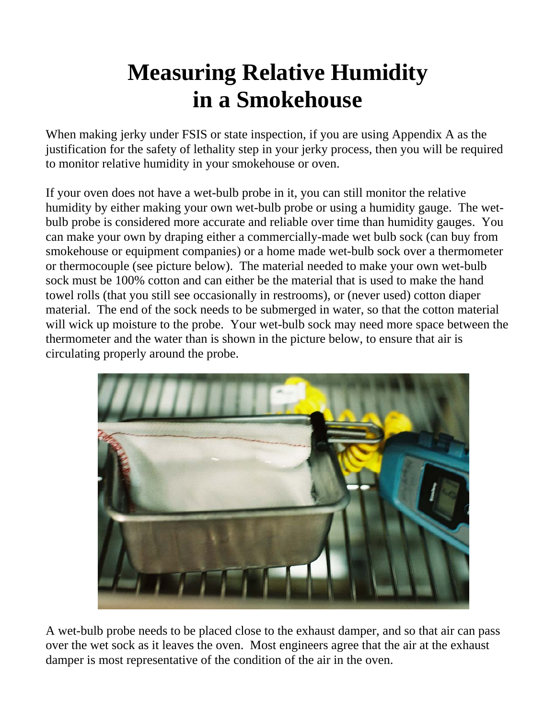## **Measuring Relative Humidity in a Smokehouse**

When making jerky under FSIS or state inspection, if you are using Appendix A as the justification for the safety of lethality step in your jerky process, then you will be required to monitor relative humidity in your smokehouse or oven.

If your oven does not have a wet-bulb probe in it, you can still monitor the relative humidity by either making your own wet-bulb probe or using a humidity gauge. The wetbulb probe is considered more accurate and reliable over time than humidity gauges. You can make your own by draping either a commercially-made wet bulb sock (can buy from smokehouse or equipment companies) or a home made wet-bulb sock over a thermometer or thermocouple (see picture below). The material needed to make your own wet-bulb sock must be 100% cotton and can either be the material that is used to make the hand towel rolls (that you still see occasionally in restrooms), or (never used) cotton diaper material. The end of the sock needs to be submerged in water, so that the cotton material will wick up moisture to the probe. Your wet-bulb sock may need more space between the thermometer and the water than is shown in the picture below, to ensure that air is circulating properly around the probe.



A wet-bulb probe needs to be placed close to the exhaust damper, and so that air can pass over the wet sock as it leaves the oven. Most engineers agree that the air at the exhaust damper is most representative of the condition of the air in the oven.